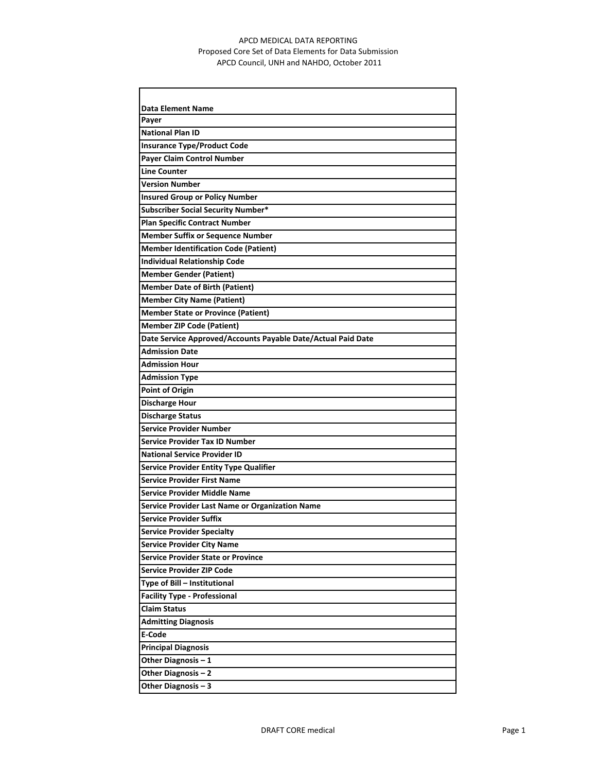## APCD MEDICAL DATA REPORTING Proposed Core Set of Data Elements for Data Submission APCD Council, UNH and NAHDO, October 2011

| <b>Data Element Name</b>                                     |
|--------------------------------------------------------------|
| Payer                                                        |
| <b>National Plan ID</b>                                      |
| <b>Insurance Type/Product Code</b>                           |
| <b>Payer Claim Control Number</b>                            |
| <b>Line Counter</b>                                          |
| <b>Version Number</b>                                        |
| <b>Insured Group or Policy Number</b>                        |
| <b>Subscriber Social Security Number*</b>                    |
| <b>Plan Specific Contract Number</b>                         |
| <b>Member Suffix or Sequence Number</b>                      |
| <b>Member Identification Code (Patient)</b>                  |
| <b>Individual Relationship Code</b>                          |
| <b>Member Gender (Patient)</b>                               |
| <b>Member Date of Birth (Patient)</b>                        |
| <b>Member City Name (Patient)</b>                            |
| <b>Member State or Province (Patient)</b>                    |
| <b>Member ZIP Code (Patient)</b>                             |
| Date Service Approved/Accounts Payable Date/Actual Paid Date |
| <b>Admission Date</b>                                        |
| <b>Admission Hour</b>                                        |
| <b>Admission Type</b>                                        |
| <b>Point of Origin</b>                                       |
| <b>Discharge Hour</b>                                        |
| <b>Discharge Status</b>                                      |
| <b>Service Provider Number</b>                               |
| <b>Service Provider Tax ID Number</b>                        |
| <b>National Service Provider ID</b>                          |
| <b>Service Provider Entity Type Qualifier</b>                |
| <b>Service Provider First Name</b>                           |
| <b>Service Provider Middle Name</b>                          |
| <b>Service Provider Last Name or Organization Name</b>       |
| <b>Service Provider Suffix</b>                               |
| <b>Service Provider Specialty</b>                            |
| <b>Service Provider City Name</b>                            |
| <b>Service Provider State or Province</b>                    |
| <b>Service Provider ZIP Code</b>                             |
| Type of Bill - Institutional                                 |
| <b>Facility Type - Professional</b>                          |
| <b>Claim Status</b>                                          |
| <b>Admitting Diagnosis</b>                                   |
| E-Code                                                       |
| <b>Principal Diagnosis</b>                                   |
| Other Diagnosis - 1                                          |
| Other Diagnosis - 2                                          |
| Other Diagnosis - 3                                          |